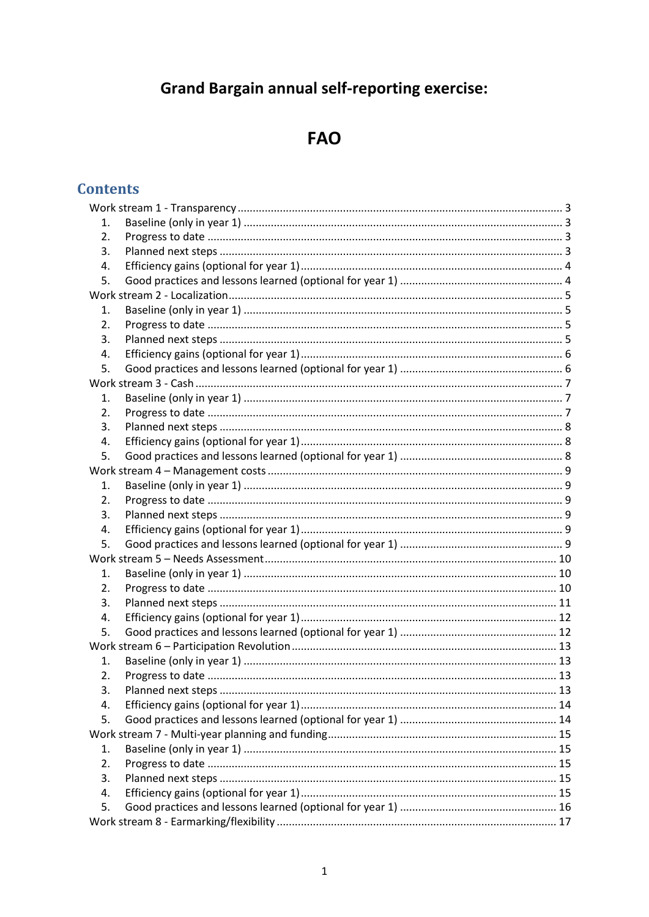# **Grand Bargain annual self-reporting exercise:**

# **FAO**

# **Contents**

| 1.               |  |  |  |  |
|------------------|--|--|--|--|
| 2.               |  |  |  |  |
| 3.               |  |  |  |  |
| 4.               |  |  |  |  |
| 5.               |  |  |  |  |
|                  |  |  |  |  |
| 1.               |  |  |  |  |
| 2.               |  |  |  |  |
| 3.               |  |  |  |  |
| 4.               |  |  |  |  |
| 5.               |  |  |  |  |
|                  |  |  |  |  |
| 1.               |  |  |  |  |
| $\overline{2}$ . |  |  |  |  |
| 3.               |  |  |  |  |
| 4.               |  |  |  |  |
| 5.               |  |  |  |  |
|                  |  |  |  |  |
| 1.               |  |  |  |  |
| 2.               |  |  |  |  |
| 3.               |  |  |  |  |
| 4.               |  |  |  |  |
| 5.               |  |  |  |  |
|                  |  |  |  |  |
| 1.               |  |  |  |  |
| 2.               |  |  |  |  |
| 3.               |  |  |  |  |
| 4.               |  |  |  |  |
| 5.               |  |  |  |  |
|                  |  |  |  |  |
| 1.               |  |  |  |  |
| 2.               |  |  |  |  |
| 3.               |  |  |  |  |
| 4.               |  |  |  |  |
| 5.               |  |  |  |  |
|                  |  |  |  |  |
| 1.               |  |  |  |  |
| 2.               |  |  |  |  |
| 3.               |  |  |  |  |
| 4.               |  |  |  |  |
| 5.               |  |  |  |  |
|                  |  |  |  |  |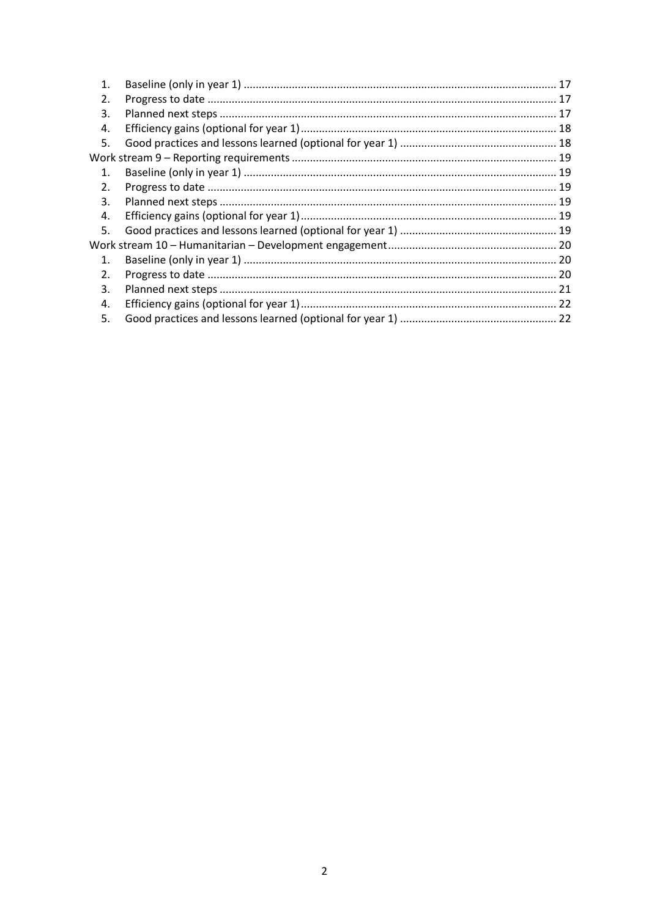| $\mathbf 1$    |  |
|----------------|--|
| 2.             |  |
| 3.             |  |
| 4.             |  |
| 5.             |  |
|                |  |
| $\mathbf{1}$ . |  |
| 2.             |  |
| 3.             |  |
| 4.             |  |
| 5.             |  |
|                |  |
| $\mathbf{1}$ . |  |
| 2.             |  |
| 3.             |  |
| 4.             |  |
| 5.             |  |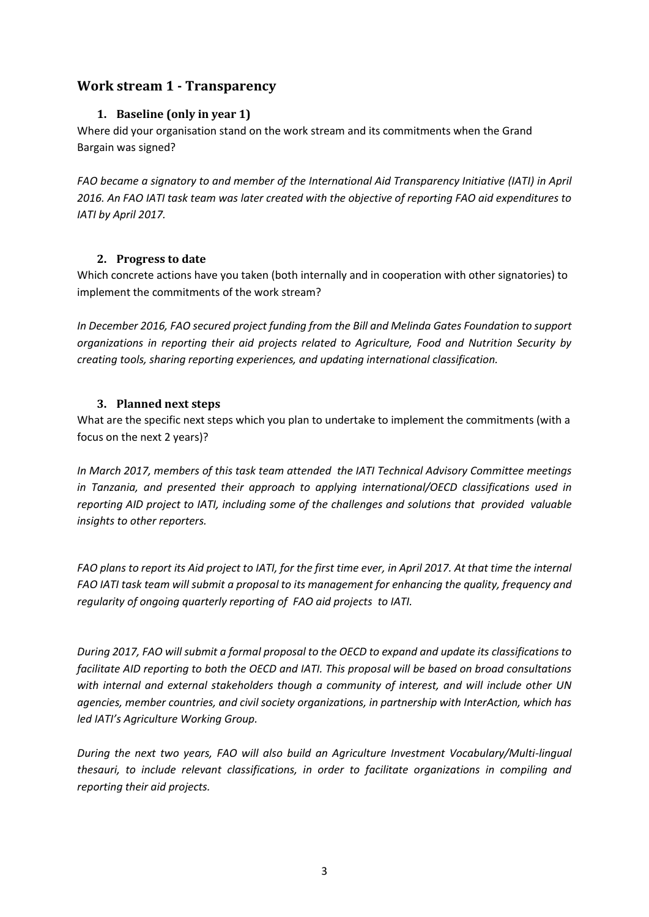# <span id="page-2-1"></span><span id="page-2-0"></span>**Work stream 1 - Transparency**

## **1. Baseline (only in year 1)**

Where did your organisation stand on the work stream and its commitments when the Grand Bargain was signed?

*FAO became a signatory to and member of the International Aid Transparency Initiative (IATI) in April 2016. An FAO IATI task team was later created with the objective of reporting FAO aid expenditures to IATI by April 2017.* 

## <span id="page-2-2"></span>**2. Progress to date**

Which concrete actions have you taken (both internally and in cooperation with other signatories) to implement the commitments of the work stream?

*In December 2016, FAO secured project funding from the Bill and Melinda Gates Foundation to support organizations in reporting their aid projects related to Agriculture, Food and Nutrition Security by creating tools, sharing reporting experiences, and updating international classification.*

## <span id="page-2-3"></span>**3. Planned next steps**

What are the specific next steps which you plan to undertake to implement the commitments (with a focus on the next 2 years)?

*In March 2017, members of this task team attended the IATI Technical Advisory Committee meetings in Tanzania, and presented their approach to applying international/OECD classifications used in reporting AID project to IATI, including some of the challenges and solutions that provided valuable insights to other reporters.*

*FAO plans to report its Aid project to IATI, for the first time ever, in April 2017. At that time the internal FAO IATI task team will submit a proposal to its management for enhancing the quality, frequency and regularity of ongoing quarterly reporting of FAO aid projects to IATI.*

*During 2017, FAO will submit a formal proposal to the OECD to expand and update its classifications to facilitate AID reporting to both the OECD and IATI. This proposal will be based on broad consultations with internal and external stakeholders though a community of interest, and will include other UN agencies, member countries, and civil society organizations, in partnership with InterAction, which has led IATI's Agriculture Working Group.*

*During the next two years, FAO will also build an Agriculture Investment Vocabulary/Multi-lingual thesauri, to include relevant classifications, in order to facilitate organizations in compiling and reporting their aid projects.*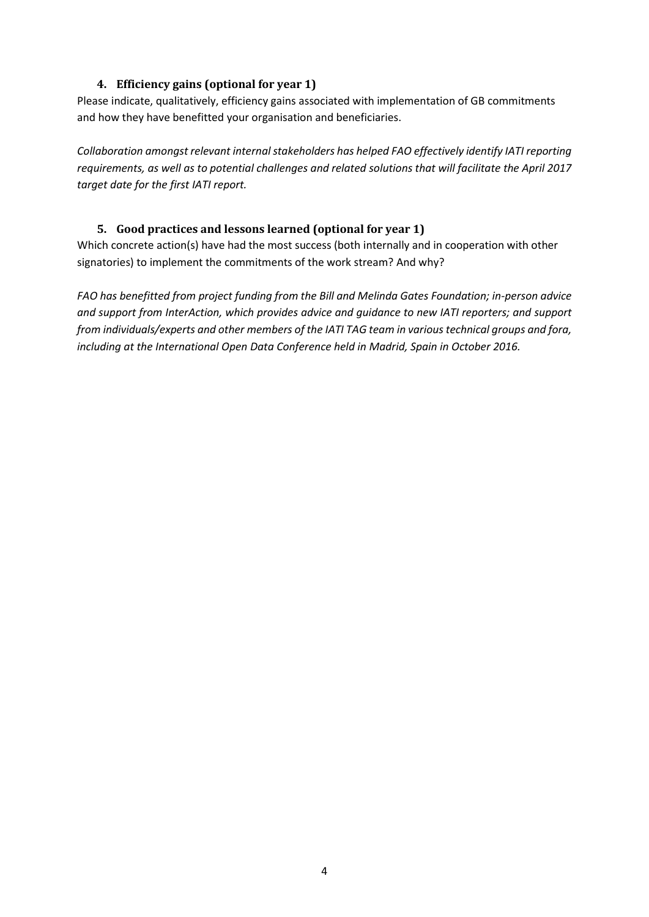## **4. Efficiency gains (optional for year 1)**

<span id="page-3-0"></span>Please indicate, qualitatively, efficiency gains associated with implementation of GB commitments and how they have benefitted your organisation and beneficiaries.

*Collaboration amongst relevant internal stakeholders has helped FAO effectively identify IATI reporting requirements, as well as to potential challenges and related solutions that will facilitate the April 2017 target date for the first IATI report.* 

## <span id="page-3-1"></span>**5. Good practices and lessons learned (optional for year 1)**

Which concrete action(s) have had the most success (both internally and in cooperation with other signatories) to implement the commitments of the work stream? And why?

*FAO has benefitted from project funding from the Bill and Melinda Gates Foundation; in-person advice and support from InterAction, which provides advice and guidance to new IATI reporters; and support from individuals/experts and other members of the IATI TAG team in various technical groups and fora, including at the International Open Data Conference held in Madrid, Spain in October 2016.*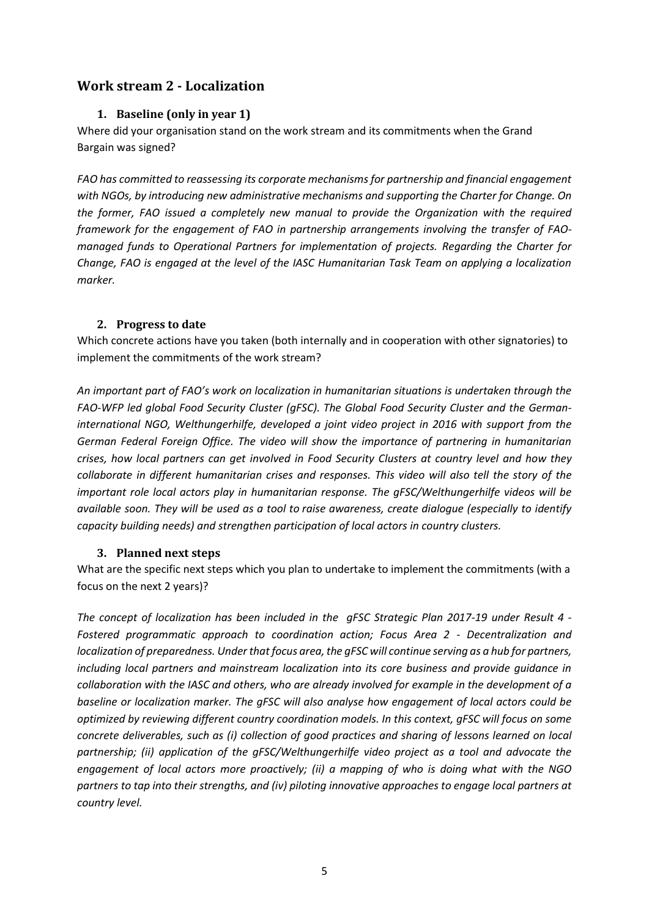# <span id="page-4-1"></span><span id="page-4-0"></span>**Work stream 2 - Localization**

## **1. Baseline (only in year 1)**

Where did your organisation stand on the work stream and its commitments when the Grand Bargain was signed?

*FAO has committed to reassessing its corporate mechanisms for partnership and financial engagement with NGOs, by introducing new administrative mechanisms and supporting the Charter for Change. On the former, FAO issued a completely new manual to provide the Organization with the required framework for the engagement of FAO in partnership arrangements involving the transfer of FAOmanaged funds to Operational Partners for implementation of projects. Regarding the Charter for Change, FAO is engaged at the level of the IASC Humanitarian Task Team on applying a localization marker.* 

## <span id="page-4-2"></span>**2. Progress to date**

Which concrete actions have you taken (both internally and in cooperation with other signatories) to implement the commitments of the work stream?

*An important part of FAO's work on localization in humanitarian situations is undertaken through the FAO-WFP led global Food Security Cluster (gFSC). The Global Food Security Cluster and the Germaninternational NGO, Welthungerhilfe, developed a joint video project in 2016 with support from the German Federal Foreign Office. The video will show the importance of partnering in humanitarian crises, how local partners can get involved in Food Security Clusters at country level and how they collaborate in different humanitarian crises and responses. This video will also tell the story of the important role local actors play in humanitarian response. The gFSC/Welthungerhilfe videos will be available soon. They will be used as a tool to raise awareness, create dialogue (especially to identify capacity building needs) and strengthen participation of local actors in country clusters.*

#### <span id="page-4-3"></span>**3. Planned next steps**

What are the specific next steps which you plan to undertake to implement the commitments (with a focus on the next 2 years)?

*The concept of localization has been included in the gFSC Strategic Plan 2017-19 under Result 4 - Fostered programmatic approach to coordination action; Focus Area 2 - Decentralization and localization of preparedness. Under that focus area, the gFSC will continue serving as a hub for partners, including local partners and mainstream localization into its core business and provide guidance in collaboration with the IASC and others, who are already involved for example in the development of a baseline or localization marker. The gFSC will also analyse how engagement of local actors could be optimized by reviewing different country coordination models. In this context, gFSC will focus on some concrete deliverables, such as (i) collection of good practices and sharing of lessons learned on local partnership; (ii) application of the gFSC/Welthungerhilfe video project as a tool and advocate the engagement of local actors more proactively; (ii) a mapping of who is doing what with the NGO partners to tap into their strengths, and (iv) piloting innovative approaches to engage local partners at country level.*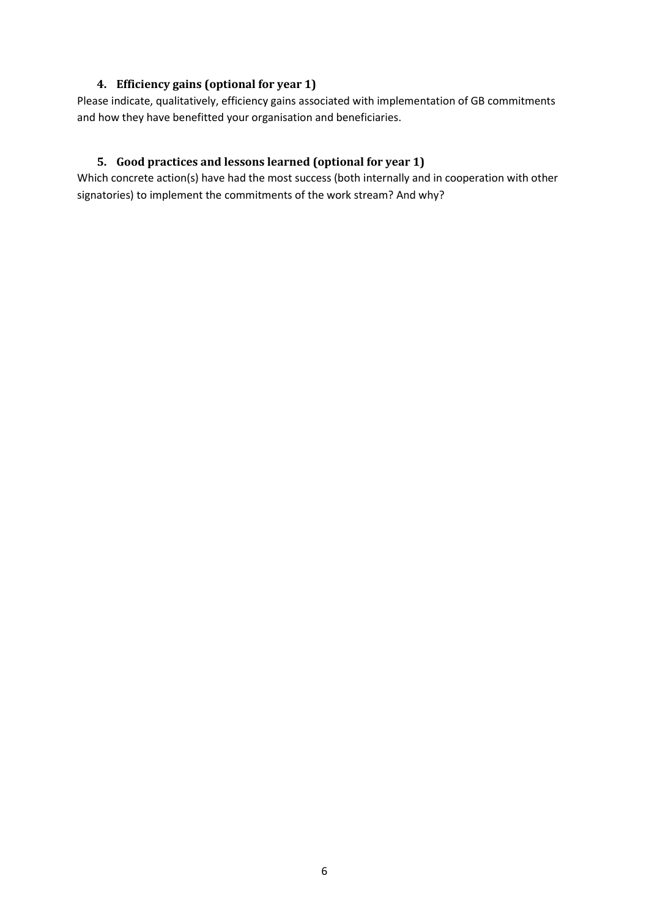## **4. Efficiency gains (optional for year 1)**

<span id="page-5-0"></span>Please indicate, qualitatively, efficiency gains associated with implementation of GB commitments and how they have benefitted your organisation and beneficiaries.

## <span id="page-5-1"></span>**5. Good practices and lessons learned (optional for year 1)**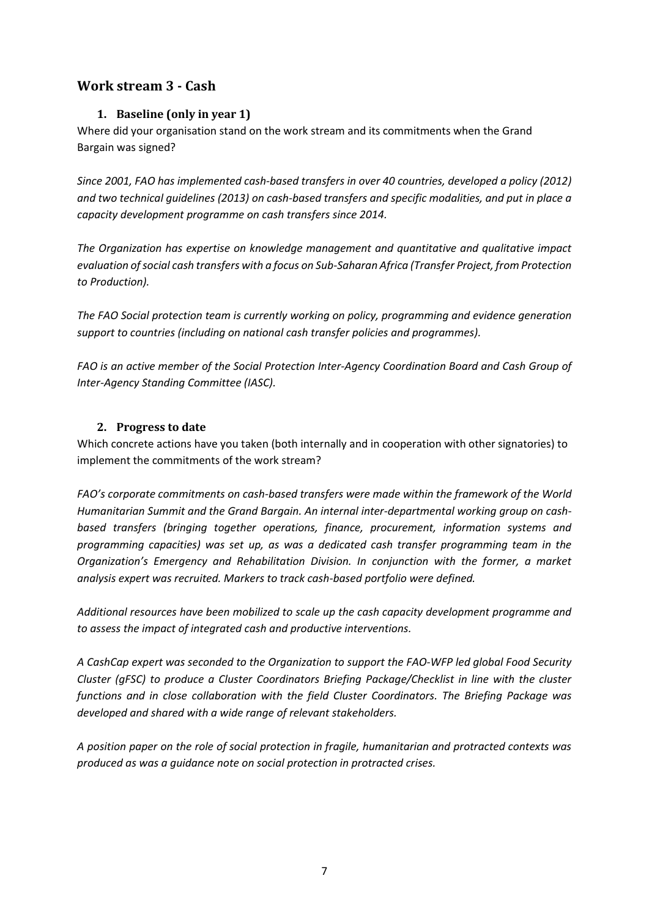# <span id="page-6-1"></span><span id="page-6-0"></span>**Work stream 3 - Cash**

## **1. Baseline (only in year 1)**

Where did your organisation stand on the work stream and its commitments when the Grand Bargain was signed?

*Since 2001, FAO has implemented cash-based transfers in over 40 countries, developed a policy (2012) and two technical guidelines (2013) on cash-based transfers and specific modalities, and put in place a capacity development programme on cash transfers since 2014.*

*The Organization has expertise on knowledge management and quantitative and qualitative impact evaluation of social cash transfers with a focus on Sub-Saharan Africa (Transfer Project, from Protection to Production).*

*The FAO Social protection team is currently working on policy, programming and evidence generation support to countries (including on national cash transfer policies and programmes).*

*FAO is an active member of the Social Protection Inter-Agency Coordination Board and Cash Group of Inter-Agency Standing Committee (IASC).*

## <span id="page-6-2"></span>**2. Progress to date**

Which concrete actions have you taken (both internally and in cooperation with other signatories) to implement the commitments of the work stream?

*FAO's corporate commitments on cash-based transfers were made within the framework of the World Humanitarian Summit and the Grand Bargain. An internal inter-departmental working group on cashbased transfers (bringing together operations, finance, procurement, information systems and programming capacities) was set up, as was a dedicated cash transfer programming team in the Organization's Emergency and Rehabilitation Division. In conjunction with the former, a market analysis expert was recruited. Markers to track cash-based portfolio were defined.*

*Additional resources have been mobilized to scale up the cash capacity development programme and to assess the impact of integrated cash and productive interventions.*

*A CashCap expert was seconded to the Organization to support the FAO-WFP led global Food Security Cluster (gFSC) to produce a Cluster Coordinators Briefing Package/Checklist in line with the cluster functions and in close collaboration with the field Cluster Coordinators. The Briefing Package was developed and shared with a wide range of relevant stakeholders.*

*A position paper on the role of social protection in fragile, humanitarian and protracted contexts was produced as was a guidance note on social protection in protracted crises.*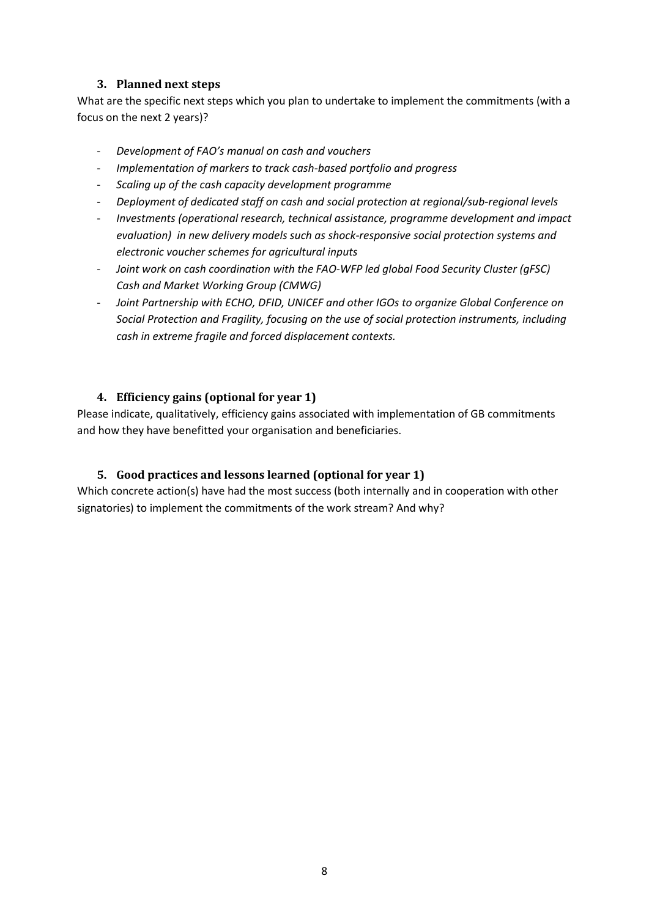## **3. Planned next steps**

<span id="page-7-0"></span>What are the specific next steps which you plan to undertake to implement the commitments (with a focus on the next 2 years)?

- *Development of FAO's manual on cash and vouchers*
- *Implementation of markers to track cash-based portfolio and progress*
- *Scaling up of the cash capacity development programme*
- *Deployment of dedicated staff on cash and social protection at regional/sub-regional levels*
- *Investments (operational research, technical assistance, programme development and impact evaluation) in new delivery models such as shock-responsive social protection systems and electronic voucher schemes for agricultural inputs*
- *Joint work on cash coordination with the FAO-WFP led global Food Security Cluster (gFSC) Cash and Market Working Group (CMWG)*
- *Joint Partnership with ECHO, DFID, UNICEF and other IGOs to organize Global Conference on Social Protection and Fragility, focusing on the use of social protection instruments, including cash in extreme fragile and forced displacement contexts.*

## <span id="page-7-1"></span>**4. Efficiency gains (optional for year 1)**

Please indicate, qualitatively, efficiency gains associated with implementation of GB commitments and how they have benefitted your organisation and beneficiaries.

#### <span id="page-7-2"></span>**5. Good practices and lessons learned (optional for year 1)**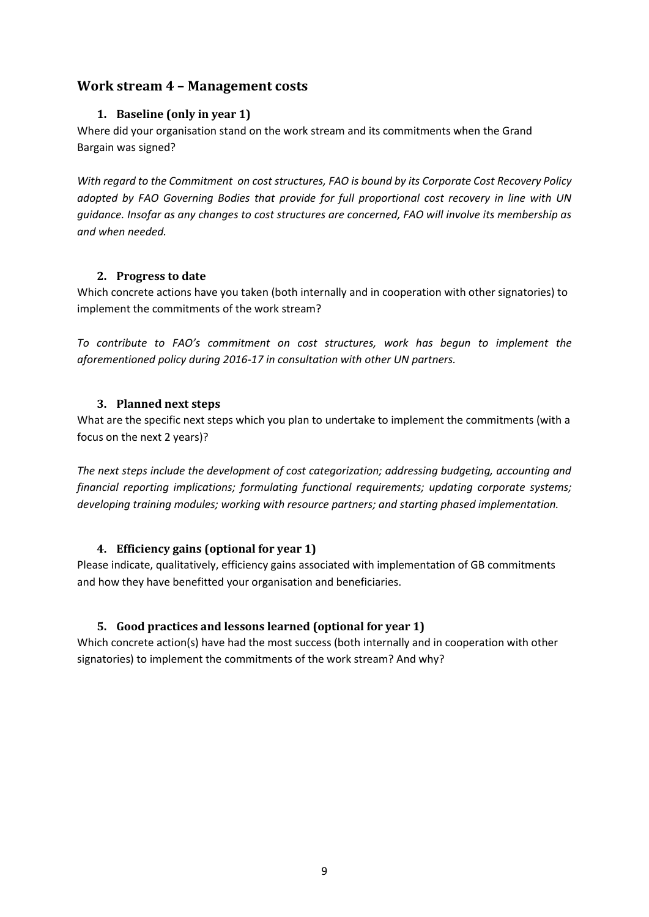## <span id="page-8-1"></span><span id="page-8-0"></span>**Work stream 4 – Management costs**

## **1. Baseline (only in year 1)**

Where did your organisation stand on the work stream and its commitments when the Grand Bargain was signed?

*With regard to the Commitment on cost structures, FAO is bound by its Corporate Cost Recovery Policy adopted by FAO Governing Bodies that provide for full proportional cost recovery in line with UN guidance. Insofar as any changes to cost structures are concerned, FAO will involve its membership as and when needed.*

#### <span id="page-8-2"></span>**2. Progress to date**

Which concrete actions have you taken (both internally and in cooperation with other signatories) to implement the commitments of the work stream?

*To contribute to FAO's commitment on cost structures, work has begun to implement the aforementioned policy during 2016-17 in consultation with other UN partners.*

#### <span id="page-8-3"></span>**3. Planned next steps**

What are the specific next steps which you plan to undertake to implement the commitments (with a focus on the next 2 years)?

*The next steps include the development of cost categorization; addressing budgeting, accounting and financial reporting implications; formulating functional requirements; updating corporate systems; developing training modules; working with resource partners; and starting phased implementation.* 

## <span id="page-8-4"></span>**4. Efficiency gains (optional for year 1)**

Please indicate, qualitatively, efficiency gains associated with implementation of GB commitments and how they have benefitted your organisation and beneficiaries.

## <span id="page-8-5"></span>**5. Good practices and lessons learned (optional for year 1)**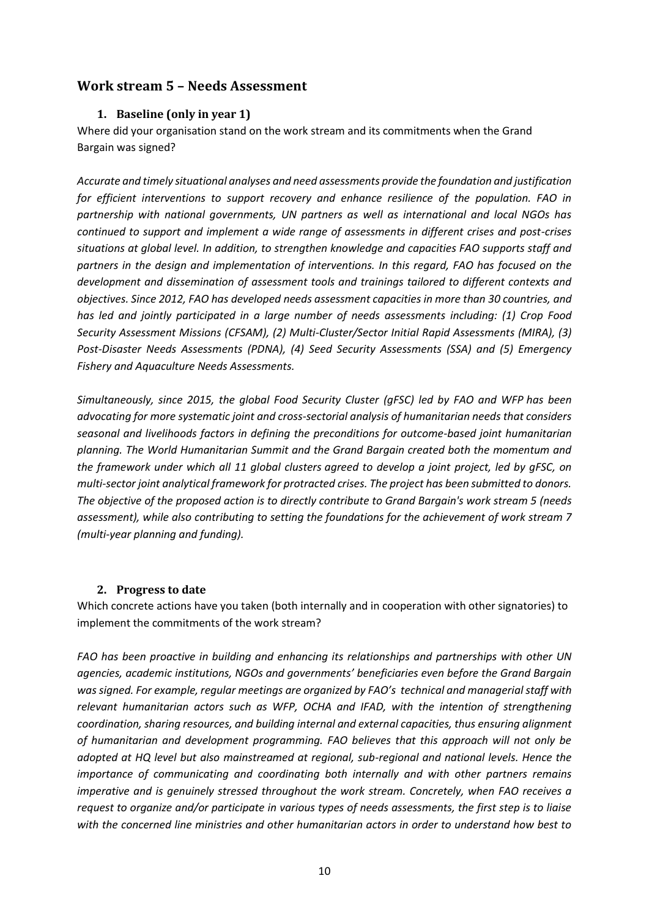## <span id="page-9-1"></span><span id="page-9-0"></span>**Work stream 5 – Needs Assessment**

#### **1. Baseline (only in year 1)**

Where did your organisation stand on the work stream and its commitments when the Grand Bargain was signed?

*Accurate and timely situational analyses and need assessments provide the foundation and justification for efficient interventions to support recovery and enhance resilience of the population. FAO in partnership with national governments, UN partners as well as international and local NGOs has continued to support and implement a wide range of assessments in different crises and post-crises situations at global level. In addition, to strengthen knowledge and capacities FAO supports staff and partners in the design and implementation of interventions. In this regard, FAO has focused on the development and dissemination of assessment tools and trainings tailored to different contexts and objectives. Since 2012, FAO has developed needs assessment capacities in more than 30 countries, and has led and jointly participated in a large number of needs assessments including: (1) Crop Food Security Assessment Missions (CFSAM), (2) Multi-Cluster/Sector Initial Rapid Assessments (MIRA), (3) Post-Disaster Needs Assessments (PDNA), (4) Seed Security Assessments (SSA) and (5) Emergency Fishery and Aquaculture Needs Assessments.*

*Simultaneously, since 2015, the global Food Security Cluster (gFSC) led by FAO and WFP has been advocating for more systematic joint and cross-sectorial analysis of humanitarian needs that considers seasonal and livelihoods factors in defining the preconditions for outcome-based joint humanitarian planning. The World Humanitarian Summit and the Grand Bargain created both the momentum and the framework under which all 11 global clusters agreed to develop a joint project, led by gFSC, on multi-sector joint analytical framework for protracted crises. The project has been submitted to donors. The objective of the proposed action is to directly contribute to Grand Bargain's work stream 5 (needs assessment), while also contributing to setting the foundations for the achievement of work stream 7 (multi-year planning and funding).*

#### <span id="page-9-2"></span>**2. Progress to date**

Which concrete actions have you taken (both internally and in cooperation with other signatories) to implement the commitments of the work stream?

*FAO has been proactive in building and enhancing its relationships and partnerships with other UN agencies, academic institutions, NGOs and governments' beneficiaries even before the Grand Bargain was signed. For example, regular meetings are organized by FAO's technical and managerial staff with relevant humanitarian actors such as WFP, OCHA and IFAD, with the intention of strengthening coordination, sharing resources, and building internal and external capacities, thus ensuring alignment of humanitarian and development programming. FAO believes that this approach will not only be adopted at HQ level but also mainstreamed at regional, sub-regional and national levels. Hence the importance of communicating and coordinating both internally and with other partners remains imperative and is genuinely stressed throughout the work stream. Concretely, when FAO receives a request to organize and/or participate in various types of needs assessments, the first step is to liaise with the concerned line ministries and other humanitarian actors in order to understand how best to*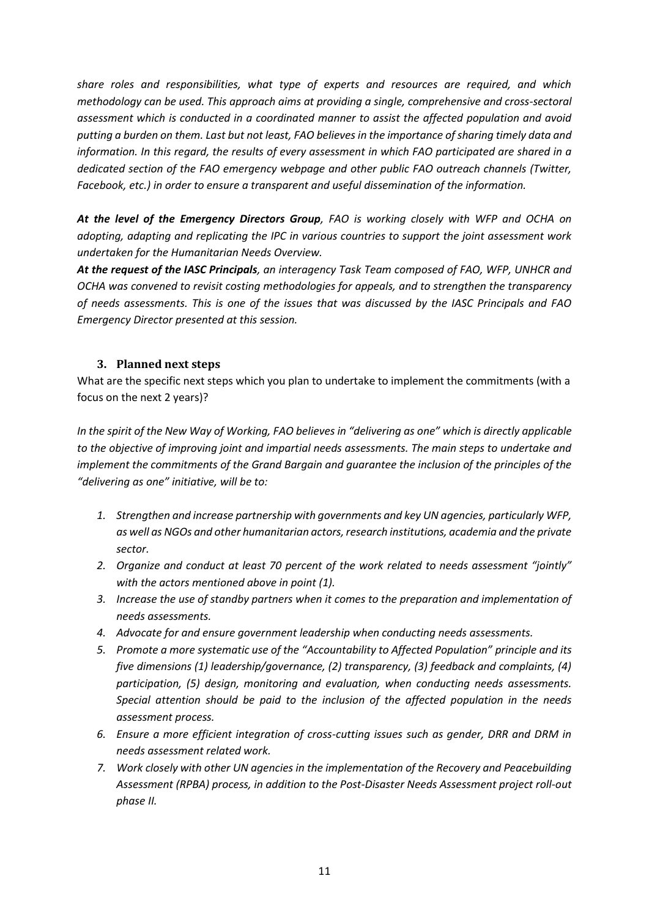*share roles and responsibilities, what type of experts and resources are required, and which methodology can be used. This approach aims at providing a single, comprehensive and cross-sectoral assessment which is conducted in a coordinated manner to assist the affected population and avoid putting a burden on them. Last but not least, FAO believes in the importance of sharing timely data and information. In this regard, the results of every assessment in which FAO participated are shared in a dedicated section of the FAO emergency webpage and other public FAO outreach channels (Twitter, Facebook, etc.) in order to ensure a transparent and useful dissemination of the information.*

*At the level of the Emergency Directors Group, FAO is working closely with WFP and OCHA on adopting, adapting and replicating the IPC in various countries to support the joint assessment work undertaken for the Humanitarian Needs Overview.*

*At the request of the IASC Principals, an interagency Task Team composed of FAO, WFP, UNHCR and OCHA was convened to revisit costing methodologies for appeals, and to strengthen the transparency of needs assessments. This is one of the issues that was discussed by the IASC Principals and FAO Emergency Director presented at this session.*

#### <span id="page-10-0"></span>**3. Planned next steps**

What are the specific next steps which you plan to undertake to implement the commitments (with a focus on the next 2 years)?

*In the spirit of the New Way of Working, FAO believes in "delivering as one" which is directly applicable to the objective of improving joint and impartial needs assessments. The main steps to undertake and*  implement the commitments of the Grand Bargain and guarantee the inclusion of the principles of the *"delivering as one" initiative, will be to:*

- *1. Strengthen and increase partnership with governments and key UN agencies, particularly WFP, as well as NGOs and other humanitarian actors, research institutions, academia and the private sector.*
- *2. Organize and conduct at least 70 percent of the work related to needs assessment "jointly" with the actors mentioned above in point (1).*
- *3. Increase the use of standby partners when it comes to the preparation and implementation of needs assessments.*
- *4. Advocate for and ensure government leadership when conducting needs assessments.*
- *5. Promote a more systematic use of the "Accountability to Affected Population" principle and its five dimensions (1) leadership/governance, (2) transparency, (3) feedback and complaints, (4) participation, (5) design, monitoring and evaluation, when conducting needs assessments. Special attention should be paid to the inclusion of the affected population in the needs assessment process.*
- *6. Ensure a more efficient integration of cross-cutting issues such as gender, DRR and DRM in needs assessment related work.*
- *7. Work closely with other UN agencies in the implementation of the Recovery and Peacebuilding Assessment (RPBA) process, in addition to the Post-Disaster Needs Assessment project roll-out phase II.*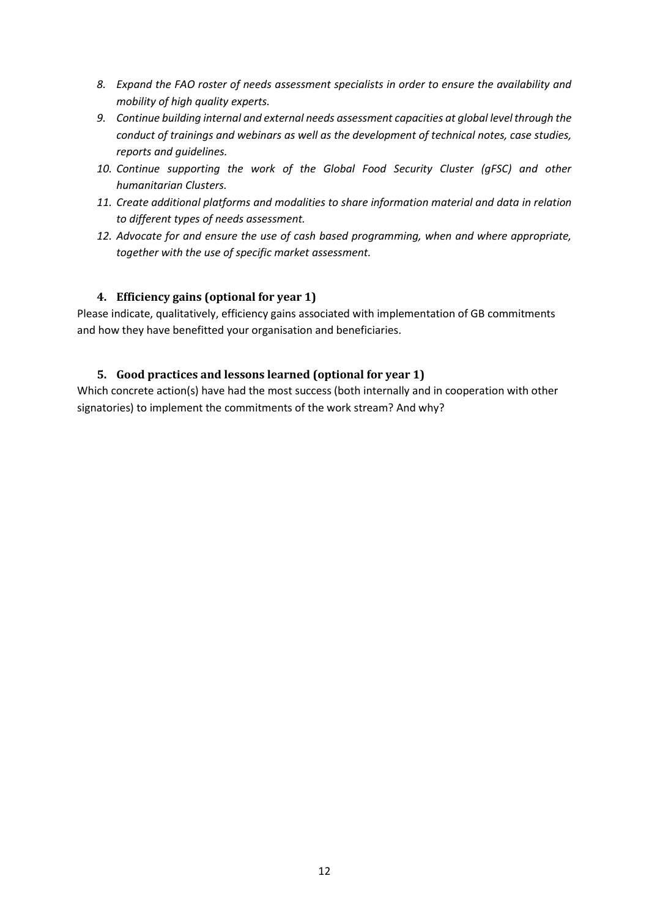- *8. Expand the FAO roster of needs assessment specialists in order to ensure the availability and mobility of high quality experts.*
- *9. Continue building internal and external needs assessment capacities at global level through the conduct of trainings and webinars as well as the development of technical notes, case studies, reports and guidelines.*
- *10. Continue supporting the work of the Global Food Security Cluster (gFSC) and other humanitarian Clusters.*
- *11. Create additional platforms and modalities to share information material and data in relation to different types of needs assessment.*
- *12. Advocate for and ensure the use of cash based programming, when and where appropriate, together with the use of specific market assessment.*

## <span id="page-11-0"></span>**4. Efficiency gains (optional for year 1)**

Please indicate, qualitatively, efficiency gains associated with implementation of GB commitments and how they have benefitted your organisation and beneficiaries.

## <span id="page-11-2"></span><span id="page-11-1"></span>**5. Good practices and lessons learned (optional for year 1)**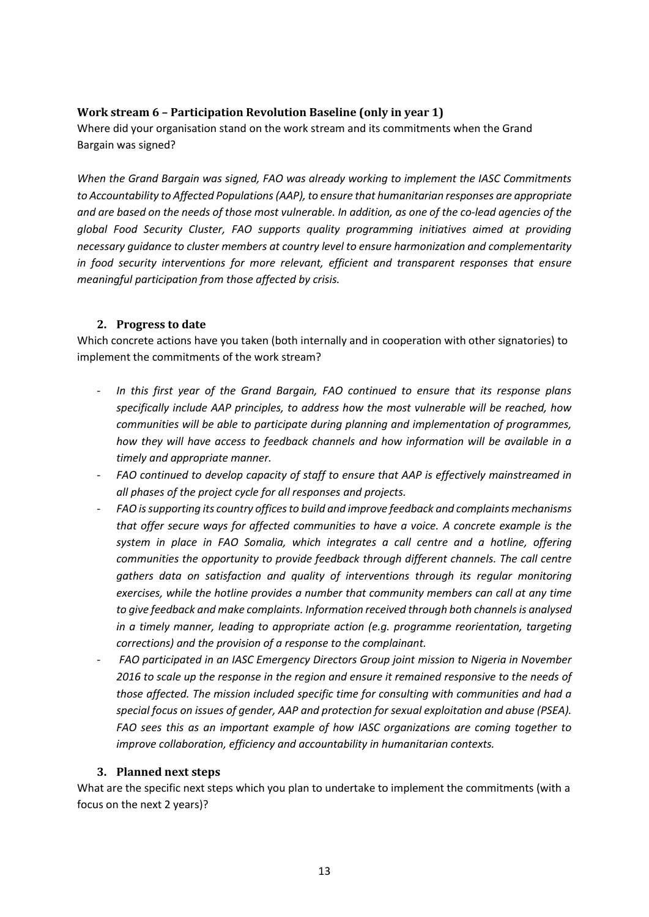## <span id="page-12-0"></span>**Work stream 6 – Participation Revolution Baseline (only in year 1)**

Where did your organisation stand on the work stream and its commitments when the Grand Bargain was signed?

*When the Grand Bargain was signed, FAO was already working to implement the IASC Commitments to Accountability to Affected Populations(AAP), to ensure that humanitarian responses are appropriate and are based on the needs of those most vulnerable. In addition, as one of the co-lead agencies of the global Food Security Cluster, FAO supports quality programming initiatives aimed at providing necessary guidance to cluster members at country level to ensure harmonization and complementarity in food security interventions for more relevant, efficient and transparent responses that ensure meaningful participation from those affected by crisis.*

#### <span id="page-12-1"></span>**2. Progress to date**

Which concrete actions have you taken (both internally and in cooperation with other signatories) to implement the commitments of the work stream?

- In this first year of the Grand Bargain, FAO continued to ensure that its response plans *specifically include AAP principles, to address how the most vulnerable will be reached, how communities will be able to participate during planning and implementation of programmes, how they will have access to feedback channels and how information will be available in a timely and appropriate manner.*
- *FAO continued to develop capacity of staff to ensure that AAP is effectively mainstreamed in all phases of the project cycle for all responses and projects.*
- *FAO is supporting its country offices to build and improve feedback and complaints mechanisms that offer secure ways for affected communities to have a voice. A concrete example is the system in place in FAO Somalia, which integrates a call centre and a hotline, offering communities the opportunity to provide feedback through different channels. The call centre gathers data on satisfaction and quality of interventions through its regular monitoring exercises, while the hotline provides a number that community members can call at any time* to give feedback and make complaints. Information received through both channels is analysed *in a timely manner, leading to appropriate action (e.g. programme reorientation, targeting corrections) and the provision of a response to the complainant.*
- *FAO participated in an IASC Emergency Directors Group joint mission to Nigeria in November 2016 to scale up the response in the region and ensure it remained responsive to the needs of those affected. The mission included specific time for consulting with communities and had a special focus on issues of gender, AAP and protection for sexual exploitation and abuse (PSEA). FAO sees this as an important example of how IASC organizations are coming together to improve collaboration, efficiency and accountability in humanitarian contexts.*

#### <span id="page-12-2"></span>**3. Planned next steps**

What are the specific next steps which you plan to undertake to implement the commitments (with a focus on the next 2 years)?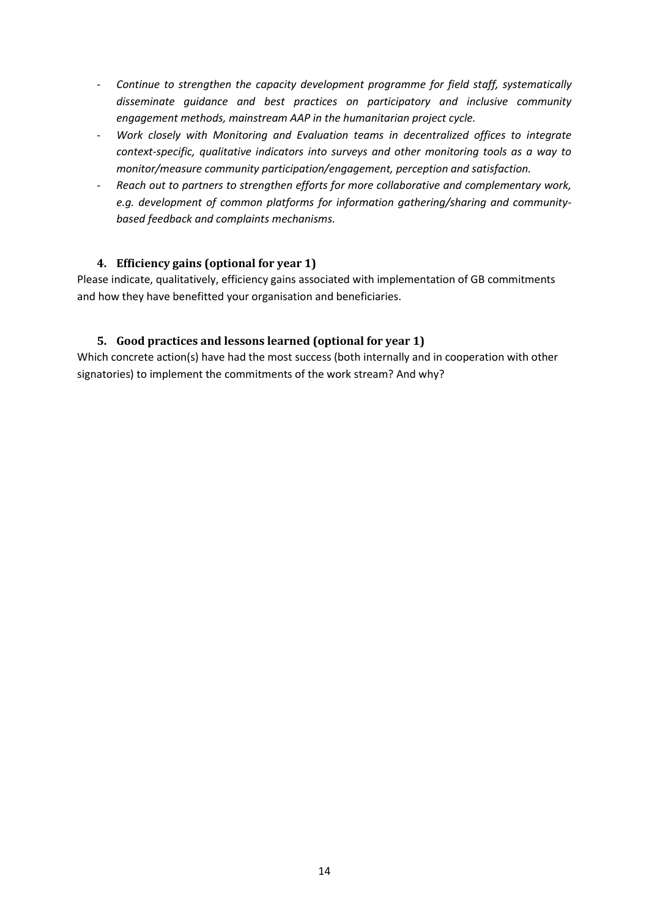- *Continue to strengthen the capacity development programme for field staff, systematically disseminate guidance and best practices on participatory and inclusive community engagement methods, mainstream AAP in the humanitarian project cycle.*
- *Work closely with Monitoring and Evaluation teams in decentralized offices to integrate context-specific, qualitative indicators into surveys and other monitoring tools as a way to monitor/measure community participation/engagement, perception and satisfaction.*
- *Reach out to partners to strengthen efforts for more collaborative and complementary work, e.g. development of common platforms for information gathering/sharing and communitybased feedback and complaints mechanisms.*

## <span id="page-13-0"></span>**4. Efficiency gains (optional for year 1)**

Please indicate, qualitatively, efficiency gains associated with implementation of GB commitments and how they have benefitted your organisation and beneficiaries.

## <span id="page-13-1"></span>**5. Good practices and lessons learned (optional for year 1)**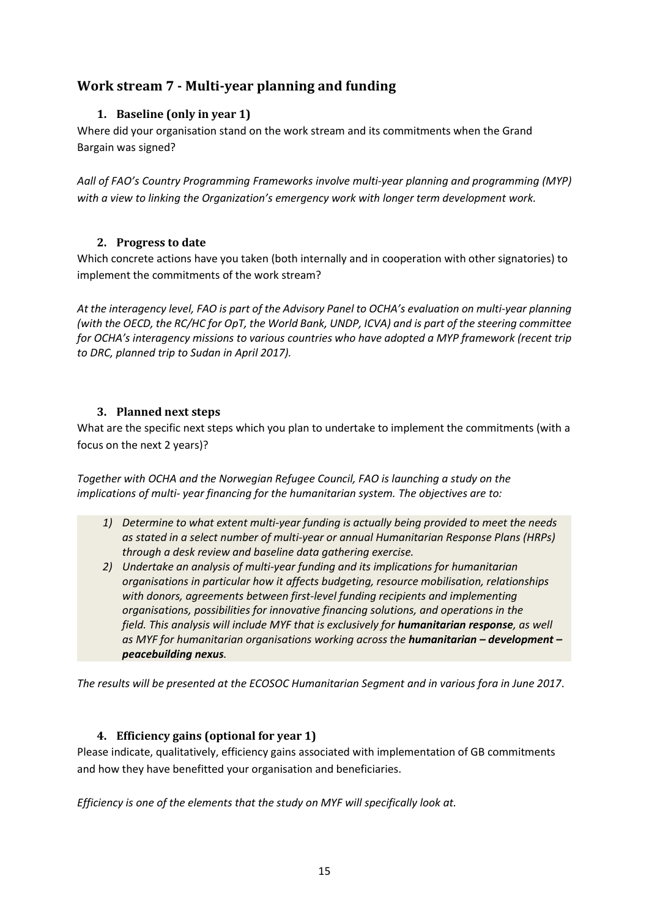# <span id="page-14-1"></span><span id="page-14-0"></span>**Work stream 7 - Multi-year planning and funding**

## **1. Baseline (only in year 1)**

Where did your organisation stand on the work stream and its commitments when the Grand Bargain was signed?

*Aall of FAO's Country Programming Frameworks involve multi-year planning and programming (MYP) with a view to linking the Organization's emergency work with longer term development work.*

## <span id="page-14-2"></span>**2. Progress to date**

Which concrete actions have you taken (both internally and in cooperation with other signatories) to implement the commitments of the work stream?

*At the interagency level, FAO is part of the Advisory Panel to OCHA's evaluation on multi-year planning (with the OECD, the RC/HC for OpT, the World Bank, UNDP, ICVA) and is part of the steering committee for OCHA's interagency missions to various countries who have adopted a MYP framework (recent trip to DRC, planned trip to Sudan in April 2017).* 

## <span id="page-14-3"></span>**3. Planned next steps**

What are the specific next steps which you plan to undertake to implement the commitments (with a focus on the next 2 years)?

*Together with OCHA and the Norwegian Refugee Council, FAO is launching a study on the implications of multi- year financing for the humanitarian system. The objectives are to:*

- *1) Determine to what extent multi-year funding is actually being provided to meet the needs as stated in a select number of multi-year or annual Humanitarian Response Plans (HRPs) through a desk review and baseline data gathering exercise.*
- *2) Undertake an analysis of multi-year funding and its implications for humanitarian organisations in particular how it affects budgeting, resource mobilisation, relationships with donors, agreements between first-level funding recipients and implementing organisations, possibilities for innovative financing solutions, and operations in the field. This analysis will include MYF that is exclusively for humanitarian response, as well as MYF for humanitarian organisations working across the humanitarian – development – peacebuilding nexus.*

<span id="page-14-4"></span>*The results will be presented at the ECOSOC Humanitarian Segment and in various fora in June 2017*.

## **4. Efficiency gains (optional for year 1)**

Please indicate, qualitatively, efficiency gains associated with implementation of GB commitments and how they have benefitted your organisation and beneficiaries.

*Efficiency is one of the elements that the study on MYF will specifically look at.*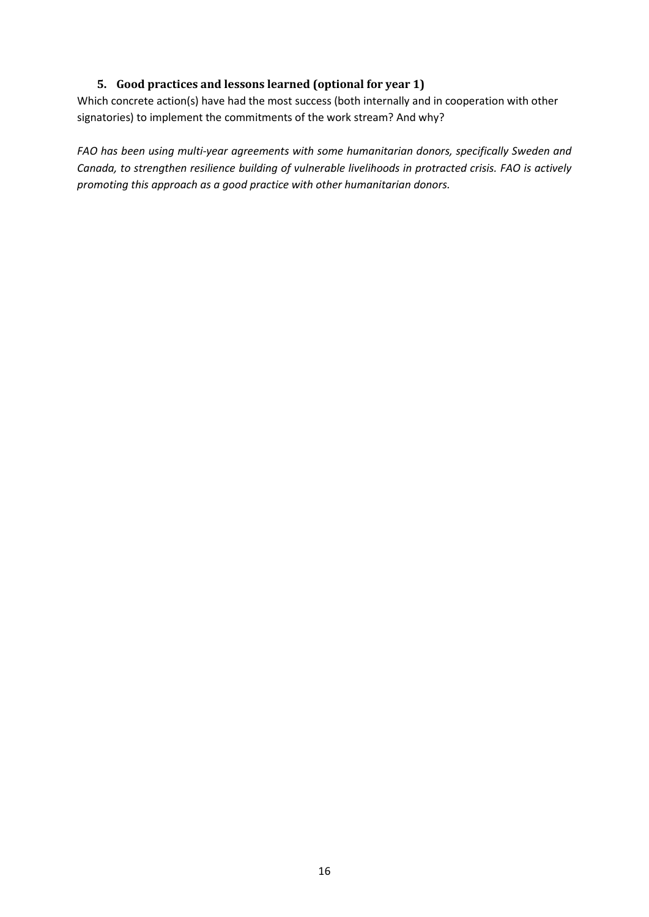## **5. Good practices and lessons learned (optional for year 1)**

<span id="page-15-0"></span>Which concrete action(s) have had the most success (both internally and in cooperation with other signatories) to implement the commitments of the work stream? And why?

*FAO has been using multi-year agreements with some humanitarian donors, specifically Sweden and Canada, to strengthen resilience building of vulnerable livelihoods in protracted crisis. FAO is actively promoting this approach as a good practice with other humanitarian donors.*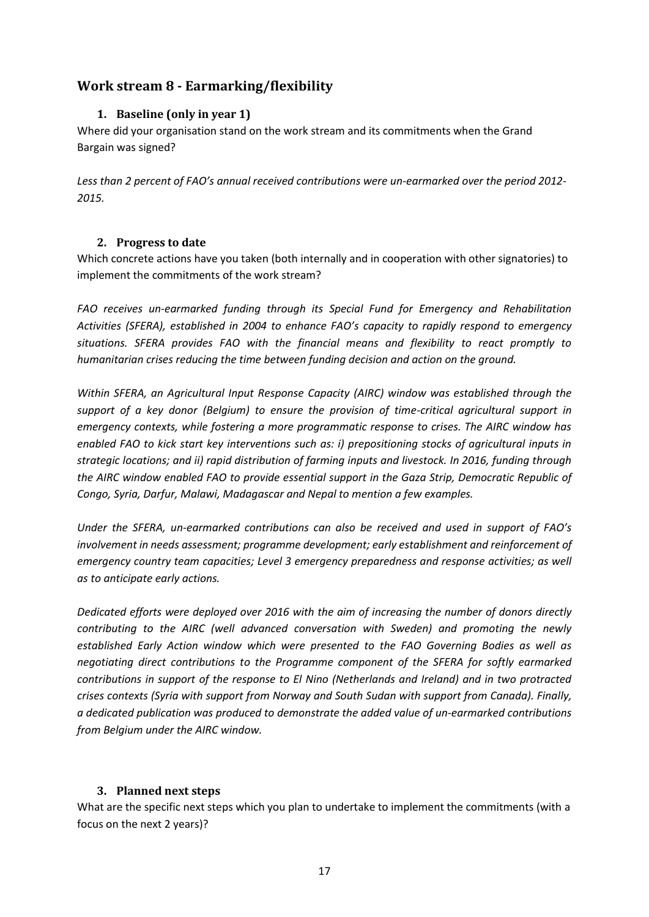# <span id="page-16-1"></span><span id="page-16-0"></span>**Work stream 8 - Earmarking/flexibility**

## **1. Baseline (only in year 1)**

Where did your organisation stand on the work stream and its commitments when the Grand Bargain was signed?

*Less than 2 percent of FAO's annual received contributions were un-earmarked over the period 2012- 2015.*

#### <span id="page-16-2"></span>**2. Progress to date**

Which concrete actions have you taken (both internally and in cooperation with other signatories) to implement the commitments of the work stream?

*FAO receives un-earmarked funding through its Special Fund for Emergency and Rehabilitation Activities (SFERA), established in 2004 to enhance FAO's capacity to rapidly respond to emergency situations. SFERA provides FAO with the financial means and flexibility to react promptly to humanitarian crises reducing the time between funding decision and action on the ground.*

*Within SFERA, an Agricultural Input Response Capacity (AIRC) window was established through the support of a key donor (Belgium) to ensure the provision of time-critical agricultural support in emergency contexts, while fostering a more programmatic response to crises. The AIRC window has enabled FAO to kick start key interventions such as: i) prepositioning stocks of agricultural inputs in strategic locations; and ii) rapid distribution of farming inputs and livestock. In 2016, funding through the AIRC window enabled FAO to provide essential support in the Gaza Strip, Democratic Republic of Congo, Syria, Darfur, Malawi, Madagascar and Nepal to mention a few examples.* 

*Under the SFERA, un-earmarked contributions can also be received and used in support of FAO's involvement in needs assessment; programme development; early establishment and reinforcement of emergency country team capacities; Level 3 emergency preparedness and response activities; as well as to anticipate early actions.*

*Dedicated efforts were deployed over 2016 with the aim of increasing the number of donors directly contributing to the AIRC (well advanced conversation with Sweden) and promoting the newly established Early Action window which were presented to the FAO Governing Bodies as well as negotiating direct contributions to the Programme component of the SFERA for softly earmarked contributions in support of the response to El Nino (Netherlands and Ireland) and in two protracted crises contexts (Syria with support from Norway and South Sudan with support from Canada). Finally, a dedicated publication was produced to demonstrate the added value of un-earmarked contributions from Belgium under the AIRC window.*

#### <span id="page-16-3"></span>**3. Planned next steps**

What are the specific next steps which you plan to undertake to implement the commitments (with a focus on the next 2 years)?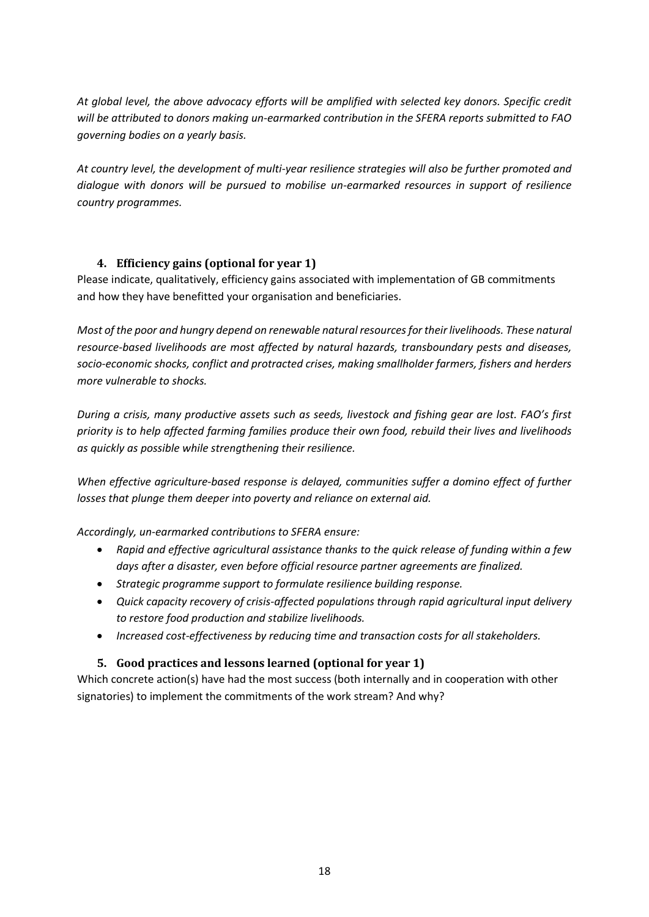*At global level, the above advocacy efforts will be amplified with selected key donors. Specific credit will be attributed to donors making un-earmarked contribution in the SFERA reports submitted to FAO governing bodies on a yearly basis.*

*At country level, the development of multi-year resilience strategies will also be further promoted and dialogue with donors will be pursued to mobilise un-earmarked resources in support of resilience country programmes.*

## <span id="page-17-0"></span>**4. Efficiency gains (optional for year 1)**

Please indicate, qualitatively, efficiency gains associated with implementation of GB commitments and how they have benefitted your organisation and beneficiaries.

*Most of the poor and hungry depend on renewable natural resources for their livelihoods. These natural resource-based livelihoods are most affected by natural hazards, transboundary pests and diseases, socio-economic shocks, conflict and protracted crises, making smallholder farmers, fishers and herders more vulnerable to shocks.* 

*During a crisis, many productive assets such as seeds, livestock and fishing gear are lost. FAO's first priority is to help affected farming families produce their own food, rebuild their lives and livelihoods as quickly as possible while strengthening their resilience.* 

When effective agriculture-based response is delayed, communities suffer a domino effect of further *losses that plunge them deeper into poverty and reliance on external aid.*

*Accordingly, un-earmarked contributions to SFERA ensure:*

- *Rapid and effective agricultural assistance thanks to the quick release of funding within a few days after a disaster, even before official resource partner agreements are finalized.*
- *Strategic programme support to formulate resilience building response.*
- *Quick capacity recovery of crisis-affected populations through rapid agricultural input delivery to restore food production and stabilize livelihoods.*
- *Increased cost-effectiveness by reducing time and transaction costs for all stakeholders.*

## <span id="page-17-1"></span>**5. Good practices and lessons learned (optional for year 1)**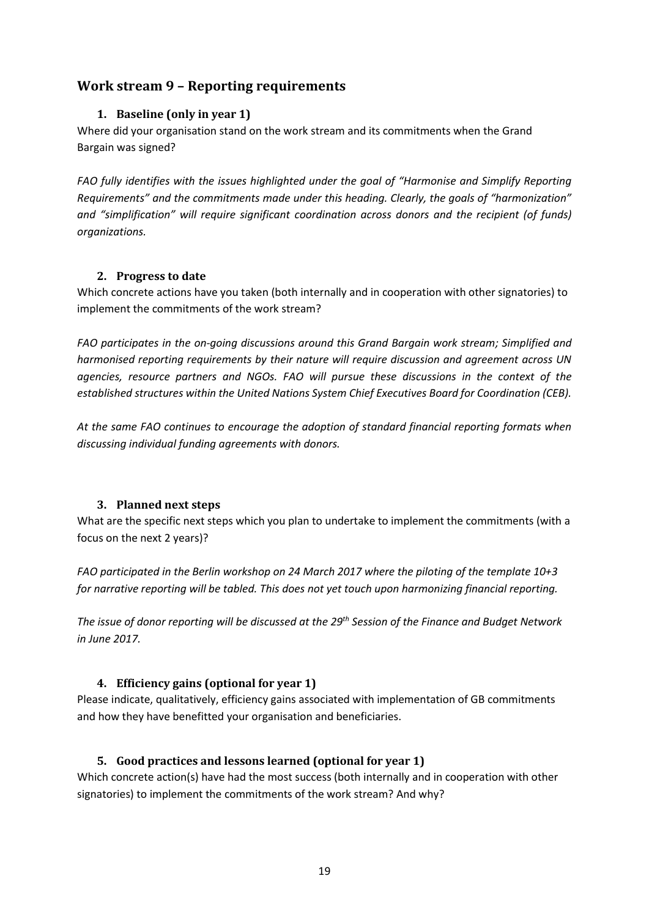# <span id="page-18-1"></span><span id="page-18-0"></span>**Work stream 9 – Reporting requirements**

## **1. Baseline (only in year 1)**

Where did your organisation stand on the work stream and its commitments when the Grand Bargain was signed?

*FAO fully identifies with the issues highlighted under the goal of "Harmonise and Simplify Reporting Requirements" and the commitments made under this heading. Clearly, the goals of "harmonization" and "simplification" will require significant coordination across donors and the recipient (of funds) organizations.*

## <span id="page-18-2"></span>**2. Progress to date**

Which concrete actions have you taken (both internally and in cooperation with other signatories) to implement the commitments of the work stream?

*FAO participates in the on-going discussions around this Grand Bargain work stream; Simplified and harmonised reporting requirements by their nature will require discussion and agreement across UN agencies, resource partners and NGOs. FAO will pursue these discussions in the context of the established structures within the United Nations System Chief Executives Board for Coordination (CEB).* 

*At the same FAO continues to encourage the adoption of standard financial reporting formats when discussing individual funding agreements with donors.* 

## <span id="page-18-3"></span>**3. Planned next steps**

What are the specific next steps which you plan to undertake to implement the commitments (with a focus on the next 2 years)?

*FAO participated in the Berlin workshop on 24 March 2017 where the piloting of the template 10+3 for narrative reporting will be tabled. This does not yet touch upon harmonizing financial reporting.*

*The issue of donor reporting will be discussed at the 29th Session of the Finance and Budget Network in June 2017.*

## <span id="page-18-4"></span>**4. Efficiency gains (optional for year 1)**

Please indicate, qualitatively, efficiency gains associated with implementation of GB commitments and how they have benefitted your organisation and beneficiaries.

## <span id="page-18-5"></span>**5. Good practices and lessons learned (optional for year 1)**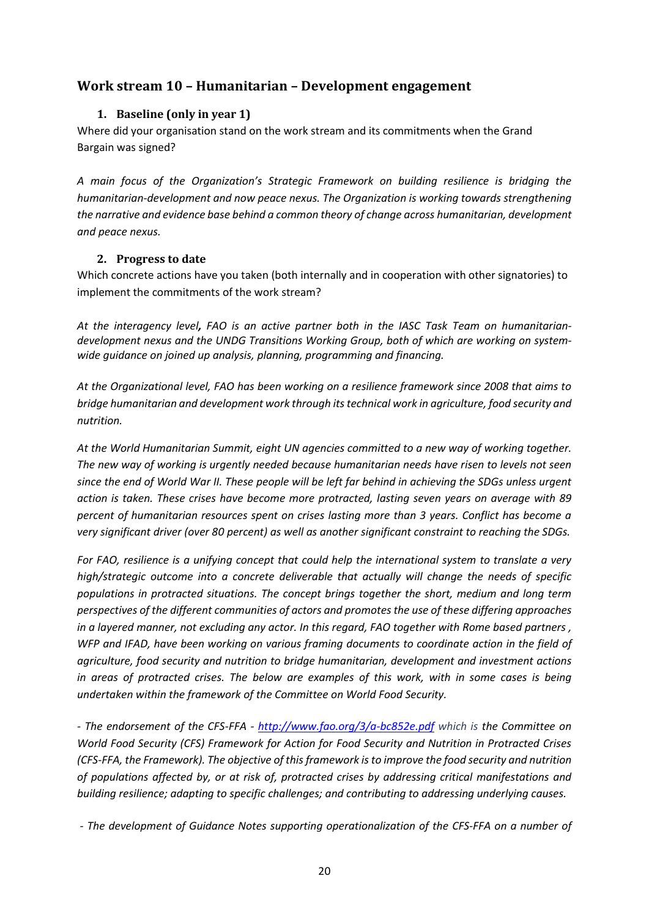# <span id="page-19-1"></span><span id="page-19-0"></span>**Work stream 10 – Humanitarian – Development engagement**

## **1. Baseline (only in year 1)**

Where did your organisation stand on the work stream and its commitments when the Grand Bargain was signed?

*A main focus of the Organization's Strategic Framework on building resilience is bridging the humanitarian-development and now peace nexus. The Organization is working towards strengthening the narrative and evidence base behind a common theory of change across humanitarian, development and peace nexus.*

#### <span id="page-19-2"></span>**2. Progress to date**

Which concrete actions have you taken (both internally and in cooperation with other signatories) to implement the commitments of the work stream?

*At the interagency level, FAO is an active partner both in the IASC Task Team on humanitariandevelopment nexus and the UNDG Transitions Working Group, both of which are working on systemwide guidance on joined up analysis, planning, programming and financing.* 

*At the Organizational level, FAO has been working on a resilience framework since 2008 that aims to bridge humanitarian and development work through its technical work in agriculture, food security and nutrition.*

*At the World Humanitarian Summit, eight UN agencies committed to a new way of working together. The new way of working is urgently needed because humanitarian needs have risen to levels not seen since the end of World War II. These people will be left far behind in achieving the SDGs unless urgent action is taken. These crises have become more protracted, lasting seven years on average with 89 percent of humanitarian resources spent on crises lasting more than 3 years. Conflict has become a very significant driver (over 80 percent) as well as another significant constraint to reaching the SDGs.*

*For FAO, resilience is a unifying concept that could help the international system to translate a very high/strategic outcome into a concrete deliverable that actually will change the needs of specific populations in protracted situations. The concept brings together the short, medium and long term perspectives of the different communities of actors and promotes the use of these differing approaches in a layered manner, not excluding any actor. In this regard, FAO together with Rome based partners , WFP and IFAD, have been working on various framing documents to coordinate action in the field of agriculture, food security and nutrition to bridge humanitarian, development and investment actions in areas of protracted crises. The below are examples of this work, with in some cases is being undertaken within the framework of the Committee on World Food Security.* 

*- The endorsement of the CFS-FFA - <http://www.fao.org/3/a-bc852e.pdf> which is the Committee on World Food Security (CFS) Framework for Action for Food Security and Nutrition in Protracted Crises (CFS-FFA, the Framework). The objective of this framework is to improve the food security and nutrition of populations affected by, or at risk of, protracted crises by addressing critical manifestations and building resilience; adapting to specific challenges; and contributing to addressing underlying causes.* 

*- The development of Guidance Notes supporting operationalization of the CFS-FFA on a number of*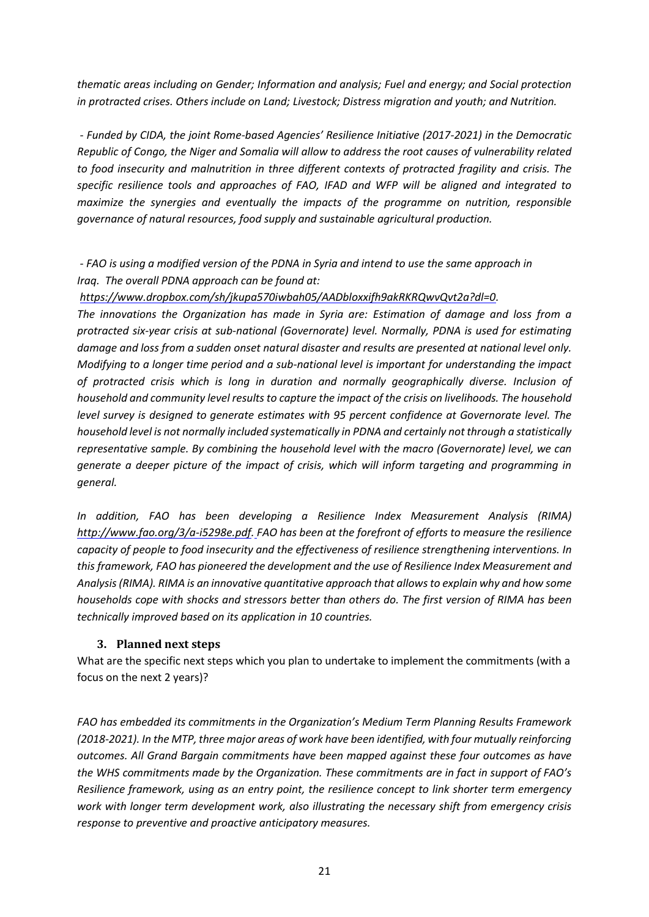*thematic areas including on Gender; Information and analysis; Fuel and energy; and Social protection in protracted crises. Others include on Land; Livestock; Distress migration and youth; and Nutrition.*

*- Funded by CIDA, the joint Rome-based Agencies' Resilience Initiative (2017-2021) in the Democratic Republic of Congo, the Niger and Somalia will allow to address the root causes of vulnerability related to food insecurity and malnutrition in three different contexts of protracted fragility and crisis. The specific resilience tools and approaches of FAO, IFAD and WFP will be aligned and integrated to maximize the synergies and eventually the impacts of the programme on nutrition, responsible governance of natural resources, food supply and sustainable agricultural production.*

*- FAO is using a modified version of the PDNA in Syria and intend to use the same approach in Iraq. The overall PDNA approach can be found at:*

*[https://www.dropbox.com/sh/jkupa570iwbah05/AADbloxxifh9akRKRQwvQvt2a?dl=0.](https://www.dropbox.com/sh/jkupa570iwbah05/AADbloxxifh9akRKRQwvQvt2a?dl=0)* 

*The innovations the Organization has made in Syria are: Estimation of damage and loss from a protracted six-year crisis at sub-national (Governorate) level. Normally, PDNA is used for estimating damage and loss from a sudden onset natural disaster and results are presented at national level only. Modifying to a longer time period and a sub-national level is important for understanding the impact of protracted crisis which is long in duration and normally geographically diverse. Inclusion of household and community level results to capture the impact of the crisis on livelihoods. The household level survey is designed to generate estimates with 95 percent confidence at Governorate level. The household level is not normally included systematically in PDNA and certainly not through a statistically representative sample. By combining the household level with the macro (Governorate) level, we can generate a deeper picture of the impact of crisis, which will inform targeting and programming in general.*

*In addition, FAO has been developing a Resilience Index Measurement Analysis (RIMA) [http://www.fao.org/3/a-i5298e.pdf.](http://www.fao.org/3/a-i5298e.pdf) FAO has been at the forefront of efforts to measure the resilience capacity of people to food insecurity and the effectiveness of resilience strengthening interventions. In this framework, FAO has pioneered the development and the use of Resilience Index Measurement and Analysis (RIMA). RIMA is an innovative quantitative approach that allowsto explain why and how some households cope with shocks and stressors better than others do. The first version of RIMA has been technically improved based on its application in 10 countries.*

#### <span id="page-20-0"></span>**3. Planned next steps**

What are the specific next steps which you plan to undertake to implement the commitments (with a focus on the next 2 years)?

*FAO has embedded its commitments in the Organization's Medium Term Planning Results Framework (2018-2021). In the MTP, three major areas of work have been identified, with four mutually reinforcing outcomes. All Grand Bargain commitments have been mapped against these four outcomes as have the WHS commitments made by the Organization. These commitments are in fact in support of FAO's Resilience framework, using as an entry point, the resilience concept to link shorter term emergency work with longer term development work, also illustrating the necessary shift from emergency crisis response to preventive and proactive anticipatory measures.*